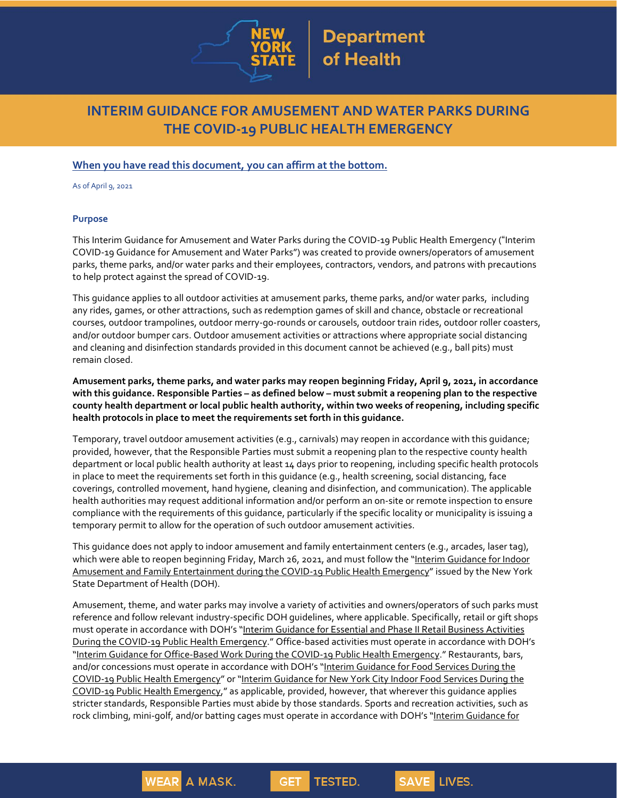

# **INTERIM GUIDANCE FOR AMUSEMENT AND WATER PARKS DURING THE COVID-19 PUBLIC HEALTH EMERGENCY**

## **When you have read this document, you can affirm at the bottom.**

As of April 9, 2021

#### **Purpose**

This Interim Guidance for Amusement and Water Parks during the COVID-19 Public Health Emergency ("Interim COVID-19 Guidance for Amusement and Water Parks") was created to provide owners/operators of amusement parks, theme parks, and/or water parks and their employees, contractors, vendors, and patrons with precautions to help protect against the spread of COVID-19.

This guidance applies to all outdoor activities at amusement parks, theme parks, and/or water parks, including any rides, games, or other attractions, such as redemption games of skill and chance, obstacle or recreational courses, outdoor trampolines, outdoor merry-go-rounds or carousels, outdoor train rides, outdoor roller coasters, and/or outdoor bumper cars. Outdoor amusement activities or attractions where appropriate social distancing and cleaning and disinfection standards provided in this document cannot be achieved (e.g., ball pits) must remain closed.

**Amusement parks, theme parks, and water parks may reopen beginning Friday, April 9, 2021, in accordance** with this guidance. Responsible Parties - as defined below - must submit a reopening plan to the respective **county health department or local public health authority, within two weeks of reopening, including specific health protocols in place to meet the requirements set forth in this guidance.**

Temporary, travel outdoor amusement activities (e.g., carnivals) may reopen in accordance with this guidance; provided, however, that the Responsible Parties must submit a reopening plan to the respective county health department or local public health authority at least 14 days prior to reopening, including specific health protocols in place to meet the requirements set forth in this guidance (e.g., health screening, social distancing, face coverings, controlled movement, hand hygiene, cleaning and disinfection, and communication). The applicable health authorities may request additional information and/or perform an on-site or remote inspection to ensure compliance with the requirements of this guidance, particularly if the specific locality or municipality is issuing a temporary permit to allow for the operation of such outdoor amusement activities.

This guidance does not apply to indoor amusement and family entertainment centers (e.g., arcades, laser tag), which were able to reopen beginning Friday, March 26, 2021, and must follow the "Interim Guidance for Indoor Amusement and Family Entertainment during the COVID-19 Public Health Emergency" issued by the New York State Department of Health (DOH).

Amusement, theme, and water parks may involve a variety of activities and owners/operators of such parks must reference and follow relevant industry-specific DOH guidelines, where applicable. Specifically, retail or gift shops must operate in accordance with DOH's "Interim Guidance for Essential and Phase II Retail Business Activities During the COVID-19 Public Health Emergency." Office-based activities must operate in accordance with DOH's "Interim Guidance for Office-Based Work During the COVID-19 Public Health Emergency." Restaurants, bars, and/or concessions must operate in accordance with DOH's "Interim Guidance for Food Services During the COVID-19 Public Health Emergency" or "Interim Guidance for New York City Indoor Food Services During the COVID-19 Public Health Emergency," as applicable, provided, however, that wherever this guidance applies stricter standards, Responsible Parties must abide by those standards. Sports and recreation activities, such as rock climbing, mini-golf, and/or batting cages must operate in accordance with DOH's "Interim Guidance for

**GET** 

TESTED.

SAVE LIVES.

**WEAR A MASK.**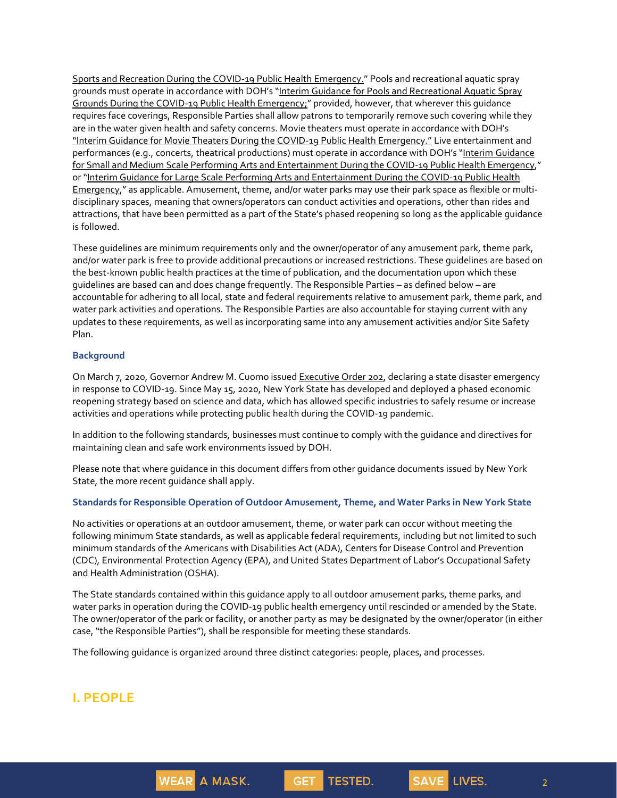Sports and Recreation During the COVID-19 Public Health Emergency." Pools and recreational aquatic spray grounds must operate in accordance with DOH's "Interim Guidance for Pools and Recreational Aquatic Spray Grounds During the COVID-19 Public Health Emergency;" provided, however, that wherever this quidance requires face coverings, Responsible Parties shall allow patrons to temporarily remove such covering while they are in the water given health and safety concerns. Movie theaters must operate in accordance with DOH's "Interim Guidance for Movie Theaters During the COVID-19 Public Health Emergency." Live entertainment and performances (e.g., concerts, theatrical productions) must operate in accordance with DOH's "Interim Guidance for Small and Medium Scale Performing Arts and Entertainment During the COVID-19 Public Health Emergency," or "Interim Guidance for Large Scale Performing Arts and Entertainment During the COVID-19 Public Health Emergency," as applicable. Amusement, theme, and/or water parks may use their park space as flexible or multidisciplinary spaces, meaning that owners/operators can conduct activities and operations, other than rides and attractions, that have been permitted as a part of the State's phased reopening so long as the applicable guidance is followed.

These guidelines are minimum requirements only and the owner/operator of any amusement park, theme park, and/or water park is free to provide additional precautions or increased restrictions. These guidelines are based on the best-known public health practices at the time of publication, and the documentation upon which these guidelines are based can and does change frequently. The Responsible Parties – as defined below – are accountable for adhering to all local, state and federal requirements relative to amusement park, theme park, and water park activities and operations. The Responsible Parties are also accountable for staying current with any updates to these requirements, as well as incorporating same into any amusement activities and/or Site Safety Plan.

### **Background**

On March 7, 2020, Governor Andrew M. Cuomo issued Executive Order 202, declaring a state disaster emergency in response to COVID-19. Since May 15, 2020, New York State has developed and deployed a phased economic reopening strategy based on science and data, which has allowed specific industries to safely resume or increase activities and operations while protecting public health during the COVID-19 pandemic.

In addition to the following standards, businesses must continue to comply with the guidance and directives for maintaining clean and safe work environments issued by DOH.

Please note that where guidance in this document differs from other guidance documents issued by New York State, the more recent guidance shall apply.

#### **Standards for Responsible Operation of Outdoor Amusement, Theme, and Water Parks in New York State**

No activities or operations at an outdoor amusement, theme, or water park can occur without meeting the following minimum State standards, as well as applicable federal requirements, including but not limited to such minimum standards of the Americans with Disabilities Act (ADA), Centers for Disease Control and Prevention (CDC), Environmental Protection Agency (EPA), and United States Department of Labor's Occupational Safety and Health Administration (OSHA).

The State standards contained within this guidance apply to all outdoor amusement parks, theme parks, and water parks in operation during the COVID-19 public health emergency until rescinded or amended by the State. The owner/operator of the park or facility, or another party as may be designated by the owner/operator (in either case, "the Responsible Parties"), shall be responsible for meeting these standards.

**GET** 

**TESTED.** 

The following guidance is organized around three distinct categories: people, places, and processes.

**WEAR A MASK.** 

## **I. PEOPLE**

2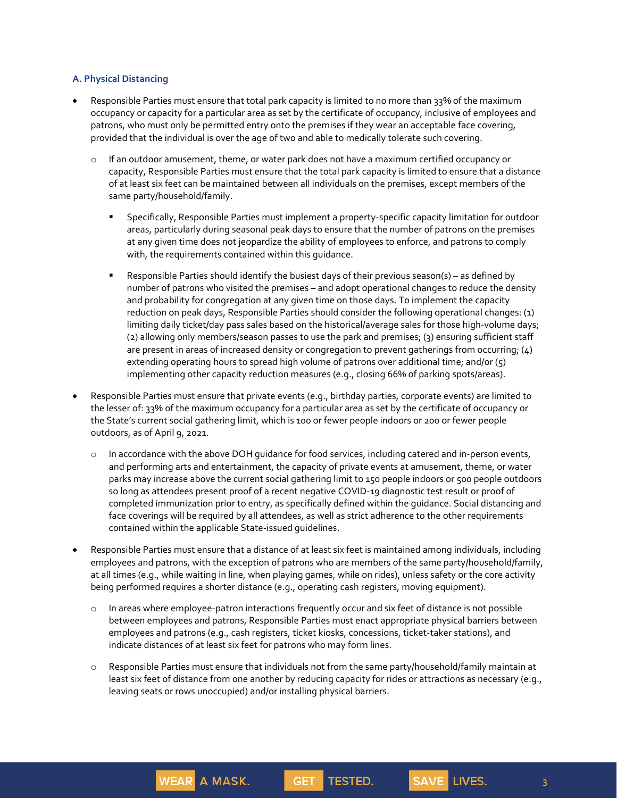### **A. Physical Distancing**

- Responsible Parties must ensure that total park capacity is limited to no more than 33% of the maximum occupancy or capacity for a particular area as set by the certificate of occupancy, inclusive of employees and patrons, who must only be permitted entry onto the premises if they wear an acceptable face covering, provided that the individual is over the age of two and able to medically tolerate such covering.
	- $\circ$  If an outdoor amusement, theme, or water park does not have a maximum certified occupancy or capacity, Responsible Parties must ensure that the total park capacity is limited to ensure that a distance of at least six feet can be maintained between all individuals on the premises, except members of the same party/household/family.
		- Specifically, Responsible Parties must implement a property-specific capacity limitation for outdoor areas, particularly during seasonal peak days to ensure that the number of patrons on the premises at any given time does not jeopardize the ability of employees to enforce, and patrons to comply with, the requirements contained within this guidance.
		- Responsible Parties should identify the busiest days of their previous season(s) as defined by number of patrons who visited the premises – and adopt operational changes to reduce the density and probability for congregation at any given time on those days. To implement the capacity reduction on peak days, Responsible Parties should consider the following operational changes: (1) limiting daily ticket/day pass sales based on the historical/average sales for those high-volume days; (2) allowing only members/season passes to use the park and premises; (3) ensuring sufficient staff are present in areas of increased density or congregation to prevent gatherings from occurring; (4) extending operating hours to spread high volume of patrons over additional time; and/or (5) implementing other capacity reduction measures (e.g., closing 66% of parking spots/areas).
- Responsible Parties must ensure that private events (e.g., birthday parties, corporate events) are limited to the lesser of: 33% of the maximum occupancy for a particular area as set by the certificate of occupancy or the State's current social gathering limit, which is 100 or fewer people indoors or 200 or fewer people outdoors, as of April 9, 2021.
	- o In accordance with the above DOH guidance for food services, including catered and in-person events, and performing arts and entertainment, the capacity of private events at amusement, theme, or water parks may increase above the current social gathering limit to 150 people indoors or 500 people outdoors so long as attendees present proof of a recent negative COVID-19 diagnostic test result or proof of completed immunization prior to entry, as specifically defined within the guidance. Social distancing and face coverings will be required by all attendees, as well as strict adherence to the other requirements contained within the applicable State-issued guidelines.
- Responsible Parties must ensure that a distance of at least six feet is maintained among individuals, including employees and patrons, with the exception of patrons who are members of the same party/household/family, at all times (e.g., while waiting in line, when playing games, while on rides), unless safety or the core activity being performed requires a shorter distance (e.g., operating cash registers, moving equipment).
	- o In areas where employee-patron interactions frequently occur and six feet of distance is not possible between employees and patrons, Responsible Parties must enact appropriate physical barriers between employees and patrons (e.g., cash registers, ticket kiosks, concessions, ticket-taker stations), and indicate distances of at least six feet for patrons who may form lines.
	- o Responsible Parties must ensure that individuals not from the same party/household/family maintain at least six feet of distance from one another by reducing capacity for rides or attractions as necessary (e.g., leaving seats or rows unoccupied) and/or installing physical barriers.

**GET** 

**TESTED.** 

**WEAR A MASK.** 

3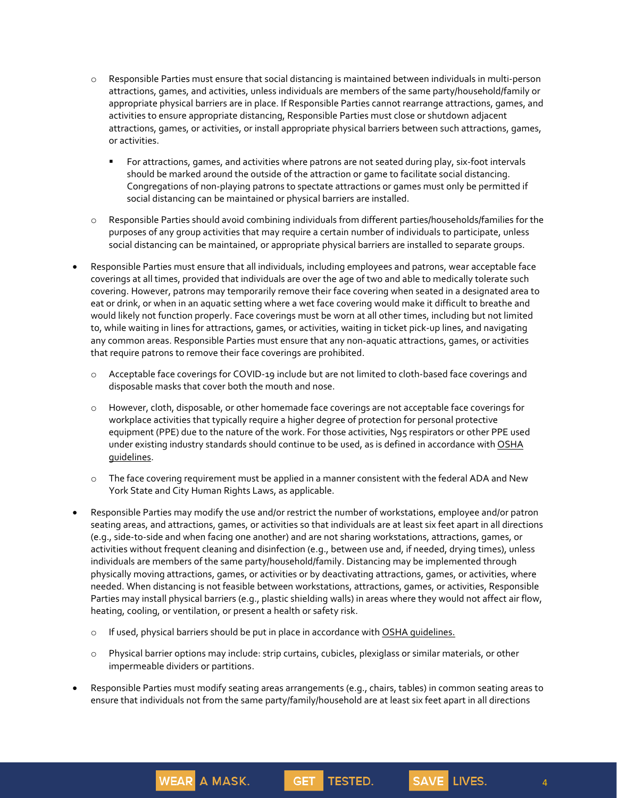- o Responsible Parties must ensure that social distancing is maintained between individuals in multi-person attractions, games, and activities, unless individuals are members of the same party/household/family or appropriate physical barriers are in place. If Responsible Parties cannot rearrange attractions, games, and activities to ensure appropriate distancing, Responsible Parties must close or shutdown adjacent attractions, games, or activities, or install appropriate physical barriers between such attractions, games, or activities.
	- For attractions, games, and activities where patrons are not seated during play, six-foot intervals should be marked around the outside of the attraction or game to facilitate social distancing. Congregations of non-playing patrons to spectate attractions or games must only be permitted if social distancing can be maintained or physical barriers are installed.
- o Responsible Parties should avoid combining individuals from different parties/households/families for the purposes of any group activities that may require a certain number of individuals to participate, unless social distancing can be maintained, or appropriate physical barriers are installed to separate groups.
- Responsible Parties must ensure that all individuals, including employees and patrons, wear acceptable face coverings at all times, provided that individuals are over the age of two and able to medically tolerate such covering. However, patrons may temporarily remove their face covering when seated in a designated area to eat or drink, or when in an aquatic setting where a wet face covering would make it difficult to breathe and would likely not function properly. Face coverings must be worn at all other times, including but not limited to, while waiting in lines for attractions, games, or activities, waiting in ticket pick-up lines, and navigating any common areas. Responsible Parties must ensure that any non-aquatic attractions, games, or activities that require patrons to remove their face coverings are prohibited.
	- o Acceptable face coverings for COVID-19 include but are not limited to cloth-based face coverings and disposable masks that cover both the mouth and nose.
	- o However, cloth, disposable, or other homemade face coverings are not acceptable face coverings for workplace activities that typically require a higher degree of protection for personal protective equipment (PPE) due to the nature of the work. For those activities, N95 respirators or other PPE used under existing industry standards should continue to be used, as is defined in accordance with OSHA guidelines.
	- $\circ$  The face covering requirement must be applied in a manner consistent with the federal ADA and New York State and City Human Rights Laws, as applicable.
- Responsible Parties may modify the use and/or restrict the number of workstations, employee and/or patron seating areas, and attractions, games, or activities so that individuals are at least six feet apart in all directions (e.g., side-to-side and when facing one another) and are not sharing workstations, attractions, games, or activities without frequent cleaning and disinfection (e.g., between use and, if needed, drying times), unless individuals are members of the same party/household/family. Distancing may be implemented through physically moving attractions, games, or activities or by deactivating attractions, games, or activities, where needed. When distancing is not feasible between workstations, attractions, games, or activities, Responsible Parties may install physical barriers (e.g., plastic shielding walls) in areas where they would not affect air flow, heating, cooling, or ventilation, or present a health or safety risk.
	- o If used, physical barriers should be put in place in accordance with OSHA quidelines.

**WEAR A MASK.** 

- o Physical barrier options may include: strip curtains, cubicles, plexiglass or similar materials, or other impermeable dividers or partitions.
- Responsible Parties must modify seating areas arrangements (e.g., chairs, tables) in common seating areas to ensure that individuals not from the same party/family/household are at least six feet apart in all directions

**GET** 

**TESTED.** 

4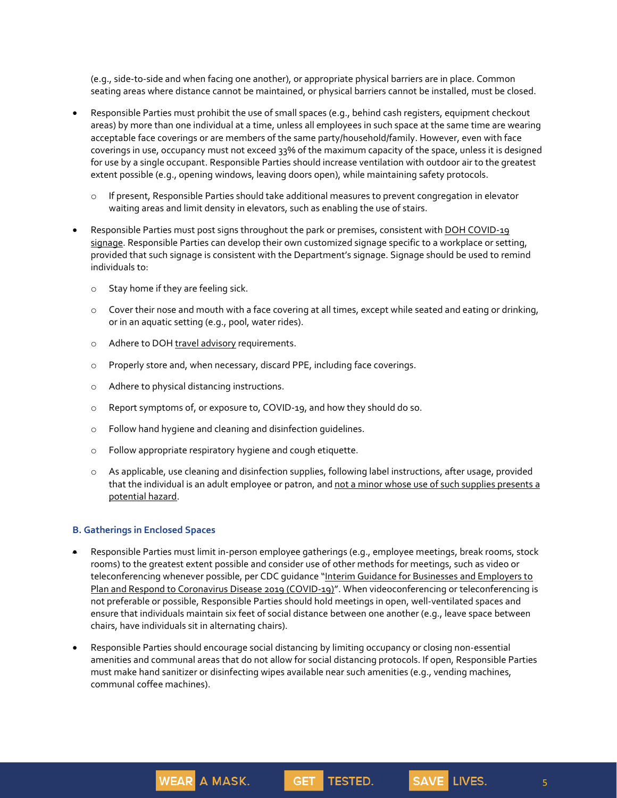(e.g., side-to-side and when facing one another), or appropriate physical barriers are in place. Common seating areas where distance cannot be maintained, or physical barriers cannot be installed, must be closed.

- Responsible Parties must prohibit the use of small spaces (e.g., behind cash registers, equipment checkout areas) by more than one individual at a time, unless all employees in such space at the same time are wearing acceptable face coverings or are members of the same party/household/family. However, even with face coverings in use, occupancy must not exceed 33% of the maximum capacity of the space, unless it is designed for use by a single occupant. Responsible Parties should increase ventilation with outdoor air to the greatest extent possible (e.g., opening windows, leaving doors open), while maintaining safety protocols.
	- o If present, Responsible Parties should take additional measures to prevent congregation in elevator waiting areas and limit density in elevators, such as enabling the use of stairs.
- Responsible Parties must post signs throughout the park or premises, consistent with DOH COVID-19 signage. Responsible Parties can develop their own customized signage specific to a workplace or setting, provided that such signage is consistent with the Department's signage. Signage should be used to remind individuals to:
	- o Stay home if they are feeling sick.
	- o Cover their nose and mouth with a face covering at all times, except while seated and eating or drinking, or in an aquatic setting (e.g., pool, water rides).
	- o Adhere to DOH travel advisory requirements.
	- o Properly store and, when necessary, discard PPE, including face coverings.
	- o Adhere to physical distancing instructions.
	- o Report symptoms of, or exposure to, COVID-19, and how they should do so.
	- o Follow hand hygiene and cleaning and disinfection guidelines.
	- o Follow appropriate respiratory hygiene and cough etiquette.

**WEAR A MASK.** 

o As applicable, use cleaning and disinfection supplies, following label instructions, after usage, provided that the individual is an adult employee or patron, and not a minor whose use of such supplies presents a potential hazard.

#### **B. Gatherings in Enclosed Spaces**

- Responsible Parties must limit in-person employee gatherings (e.g., employee meetings, break rooms, stock rooms) to the greatest extent possible and consider use of other methods for meetings, such as video or teleconferencing whenever possible, per CDC quidance "Interim Guidance for Businesses and Employers to Plan and Respond to Coronavirus Disease 2019 (COVID-19)". When videoconferencing or teleconferencing is not preferable or possible, Responsible Parties should hold meetings in open, well-ventilated spaces and ensure that individuals maintain six feet of social distance between one another (e.g., leave space between chairs, have individuals sit in alternating chairs).
- Responsible Parties should encourage social distancing by limiting occupancy or closing non-essential amenities and communal areas that do not allow for social distancing protocols. If open, Responsible Parties must make hand sanitizer or disinfecting wipes available near such amenities (e.g., vending machines, communal coffee machines).

GET.

**TESTED.** 

5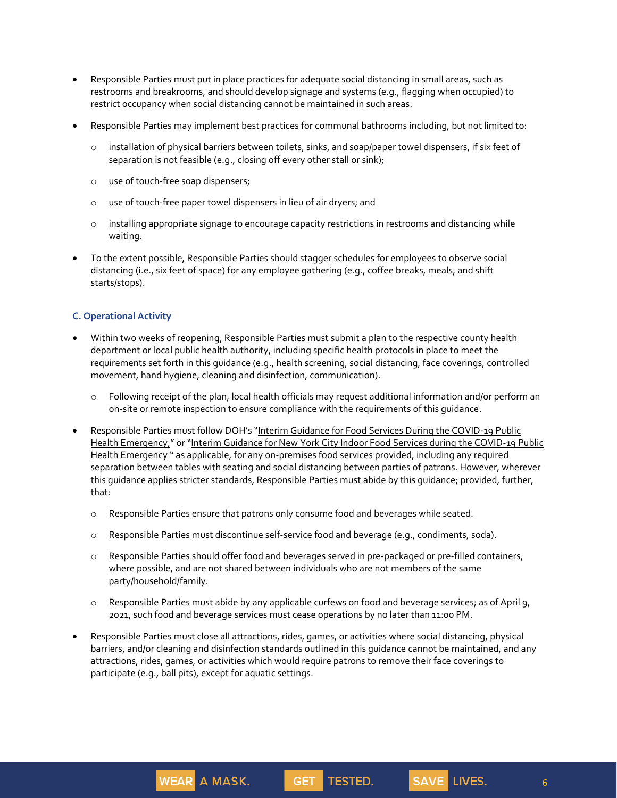- Responsible Parties must put in place practices for adequate social distancing in small areas, such as restrooms and breakrooms, and should develop signage and systems (e.g., flagging when occupied) to restrict occupancy when social distancing cannot be maintained in such areas.
- Responsible Parties may implement best practices for communal bathrooms including, but not limited to:
	- o installation of physical barriers between toilets, sinks, and soap/paper towel dispensers, if six feet of separation is not feasible (e.g., closing off every other stall or sink);
	- o use of touch-free soap dispensers;
	- o use of touch-free paper towel dispensers in lieu of air dryers; and
	- $\circ$  installing appropriate signage to encourage capacity restrictions in restrooms and distancing while waiting.
- To the extent possible, Responsible Parties should stagger schedules for employees to observe social distancing (i.e., six feet of space) for any employee gathering (e.g., coffee breaks, meals, and shift starts/stops).

## **C. Operational Activity**

- Within two weeks of reopening, Responsible Parties must submit a plan to the respective county health department or local public health authority, including specific health protocols in place to meet the requirements set forth in this guidance (e.g., health screening, social distancing, face coverings, controlled movement, hand hygiene, cleaning and disinfection, communication).
	- o Following receipt of the plan, local health officials may request additional information and/or perform an on-site or remote inspection to ensure compliance with the requirements of this guidance.
- Responsible Parties must follow DOH's "Interim Guidance for Food Services During the COVID-19 Public Health Emergency," or "Interim Guidance for New York City Indoor Food Services during the COVID-19 Public Health Emergency " as applicable, for any on-premises food services provided, including any required separation between tables with seating and social distancing between parties of patrons. However, wherever this guidance applies stricter standards, Responsible Parties must abide by this guidance; provided, further, that:
	- o Responsible Parties ensure that patrons only consume food and beverages while seated.
	- o Responsible Parties must discontinue self-service food and beverage (e.g., condiments, soda).
	- o Responsible Parties should offer food and beverages served in pre-packaged or pre-filled containers, where possible, and are not shared between individuals who are not members of the same party/household/family.
	- o Responsible Parties must abide by any applicable curfews on food and beverage services; as of April 9, 2021, such food and beverage services must cease operations by no later than 11:00 PM.
- Responsible Parties must close all attractions, rides, games, or activities where social distancing, physical barriers, and/or cleaning and disinfection standards outlined in this guidance cannot be maintained, and any attractions, rides, games, or activities which would require patrons to remove their face coverings to participate (e.g., ball pits), except for aquatic settings.

**GET** 

TESTED.

**WEAR A MASK.** 

6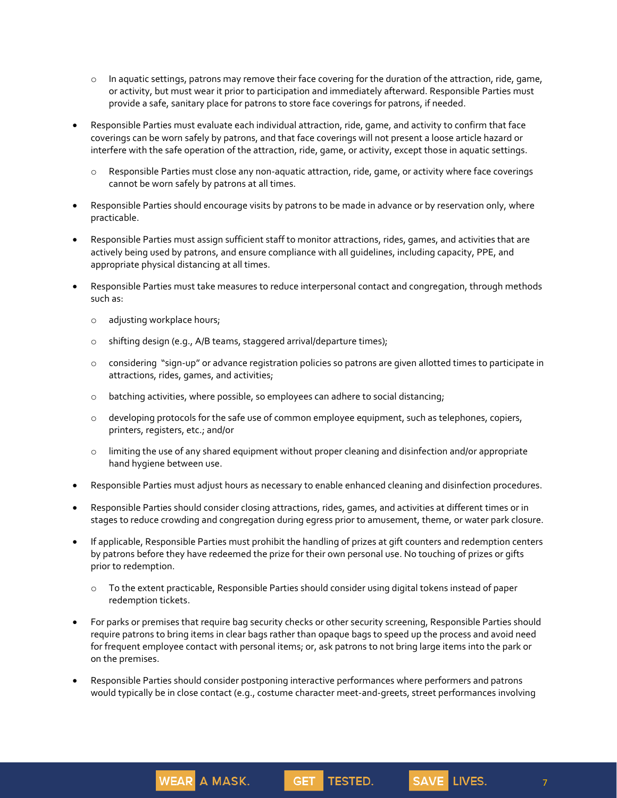- $\circ$  In aquatic settings, patrons may remove their face covering for the duration of the attraction, ride, game, or activity, but must wear it prior to participation and immediately afterward. Responsible Parties must provide a safe, sanitary place for patrons to store face coverings for patrons, if needed.
- Responsible Parties must evaluate each individual attraction, ride, game, and activity to confirm that face coverings can be worn safely by patrons, and that face coverings will not present a loose article hazard or interfere with the safe operation of the attraction, ride, game, or activity, except those in aquatic settings.
	- o Responsible Parties must close any non-aquatic attraction, ride, game, or activity where face coverings cannot be worn safely by patrons at all times.
- Responsible Parties should encourage visits by patrons to be made in advance or by reservation only, where practicable.
- Responsible Parties must assign sufficient staff to monitor attractions, rides, games, and activities that are actively being used by patrons, and ensure compliance with all guidelines, including capacity, PPE, and appropriate physical distancing at all times.
- Responsible Parties must take measures to reduce interpersonal contact and congregation, through methods such as:
	- o adjusting workplace hours;
	- o shifting design (e.g., A/B teams, staggered arrival/departure times);
	- o considering "sign-up" or advance registration policies so patrons are given allotted times to participate in attractions, rides, games, and activities;
	- $\circ$  batching activities, where possible, so employees can adhere to social distancing;
	- $\circ$  developing protocols for the safe use of common employee equipment, such as telephones, copiers, printers, registers, etc.; and/or
	- o limiting the use of any shared equipment without proper cleaning and disinfection and/or appropriate hand hygiene between use.
- Responsible Parties must adjust hours as necessary to enable enhanced cleaning and disinfection procedures.
- Responsible Parties should consider closing attractions, rides, games, and activities at different times or in stages to reduce crowding and congregation during egress prior to amusement, theme, or water park closure.
- If applicable, Responsible Parties must prohibit the handling of prizes at gift counters and redemption centers by patrons before they have redeemed the prize for their own personal use. No touching of prizes or gifts prior to redemption.
	- o To the extent practicable, Responsible Parties should consider using digital tokens instead of paper redemption tickets.
- For parks or premises that require bag security checks or other security screening, Responsible Parties should require patrons to bring items in clear bags rather than opaque bags to speed up the process and avoid need for frequent employee contact with personal items; or, ask patrons to not bring large items into the park or on the premises.
- Responsible Parties should consider postponing interactive performances where performers and patrons would typically be in close contact (e.g., costume character meet-and-greets, street performances involving

**GET** 

TESTED.

**WEAR A MASK.**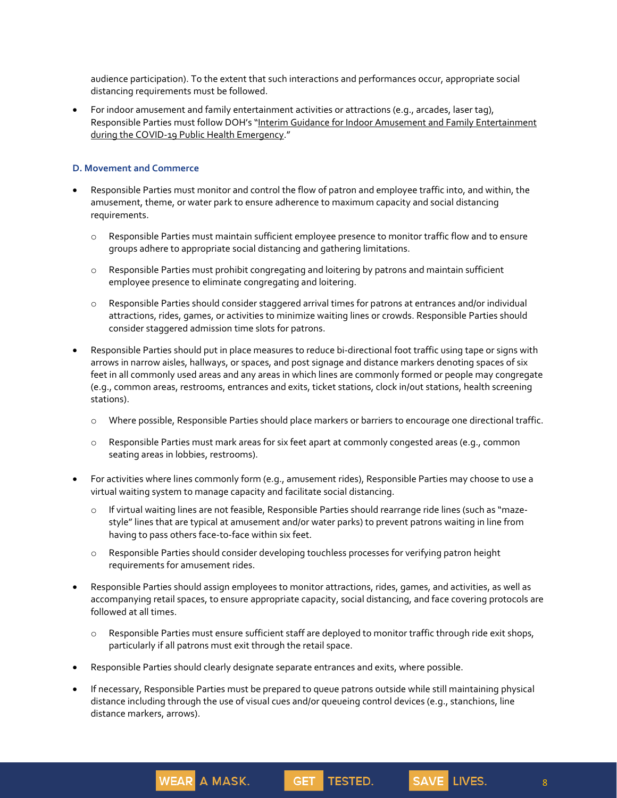audience participation). To the extent that such interactions and performances occur, appropriate social distancing requirements must be followed.

• For indoor amusement and family entertainment activities or attractions (e.g., arcades, laser tag), Responsible Parties must follow DOH's "Interim Guidance for Indoor Amusement and Family Entertainment during the COVID-19 Public Health Emergency."

## **D. Movement and Commerce**

- Responsible Parties must monitor and control the flow of patron and employee traffic into, and within, the amusement, theme, or water park to ensure adherence to maximum capacity and social distancing requirements.
	- o Responsible Parties must maintain sufficient employee presence to monitor traffic flow and to ensure groups adhere to appropriate social distancing and gathering limitations.
	- o Responsible Parties must prohibit congregating and loitering by patrons and maintain sufficient employee presence to eliminate congregating and loitering.
	- o Responsible Parties should consider staggered arrival times for patrons at entrances and/or individual attractions, rides, games, or activities to minimize waiting lines or crowds. Responsible Parties should consider staggered admission time slots for patrons.
- Responsible Parties should put in place measures to reduce bi-directional foot traffic using tape or signs with arrows in narrow aisles, hallways, or spaces, and post signage and distance markers denoting spaces of six feet in all commonly used areas and any areas in which lines are commonly formed or people may congregate (e.g., common areas, restrooms, entrances and exits, ticket stations, clock in/out stations, health screening stations).
	- o Where possible, Responsible Parties should place markers or barriers to encourage one directional traffic.
	- o Responsible Parties must mark areas for six feet apart at commonly congested areas (e.g., common seating areas in lobbies, restrooms).
- For activities where lines commonly form (e.g., amusement rides), Responsible Parties may choose to use a virtual waiting system to manage capacity and facilitate social distancing.
	- o If virtual waiting lines are not feasible, Responsible Parties should rearrange ride lines (such as "mazestyle" lines that are typical at amusement and/or water parks) to prevent patrons waiting in line from having to pass others face-to-face within six feet.
	- o Responsible Parties should consider developing touchless processes for verifying patron height requirements for amusement rides.
- Responsible Parties should assign employees to monitor attractions, rides, games, and activities, as well as accompanying retail spaces, to ensure appropriate capacity, social distancing, and face covering protocols are followed at all times.
	- o Responsible Parties must ensure sufficient staff are deployed to monitor traffic through ride exit shops, particularly if all patrons must exit through the retail space.
- Responsible Parties should clearly designate separate entrances and exits, where possible.

**WEAR A MASK.** 

• If necessary, Responsible Parties must be prepared to queue patrons outside while still maintaining physical distance including through the use of visual cues and/or queueing control devices (e.g., stanchions, line distance markers, arrows).

**GET** 

TESTED.

8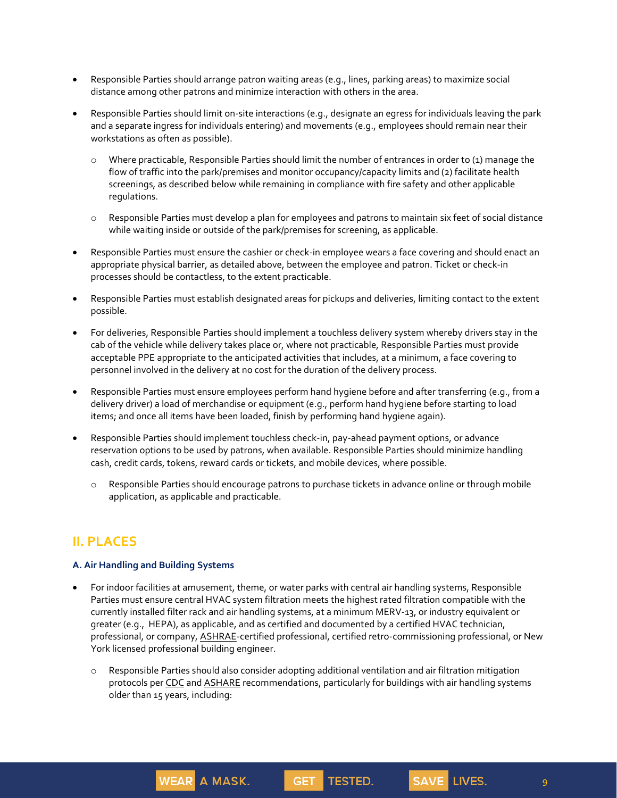- Responsible Parties should arrange patron waiting areas (e.g., lines, parking areas) to maximize social distance among other patrons and minimize interaction with others in the area.
- Responsible Parties should limit on-site interactions (e.g., designate an egress for individuals leaving the park and a separate ingress for individuals entering) and movements (e.g., employees should remain near their workstations as often as possible).
	- o Where practicable, Responsible Parties should limit the number of entrances in order to (1) manage the flow of traffic into the park/premises and monitor occupancy/capacity limits and (2) facilitate health screenings, as described below while remaining in compliance with fire safety and other applicable regulations.
	- o Responsible Parties must develop a plan for employees and patrons to maintain six feet of social distance while waiting inside or outside of the park/premises for screening, as applicable.
- Responsible Parties must ensure the cashier or check-in employee wears a face covering and should enact an appropriate physical barrier, as detailed above, between the employee and patron. Ticket or check-in processes should be contactless, to the extent practicable.
- Responsible Parties must establish designated areas for pickups and deliveries, limiting contact to the extent possible.
- For deliveries, Responsible Parties should implement a touchless delivery system whereby drivers stay in the cab of the vehicle while delivery takes place or, where not practicable, Responsible Parties must provide acceptable PPE appropriate to the anticipated activities that includes, at a minimum, a face covering to personnel involved in the delivery at no cost for the duration of the delivery process.
- Responsible Parties must ensure employees perform hand hygiene before and after transferring (e.g., from a delivery driver) a load of merchandise or equipment (e.g., perform hand hygiene before starting to load items; and once all items have been loaded, finish by performing hand hygiene again).
- Responsible Parties should implement touchless check-in, pay-ahead payment options, or advance reservation options to be used by patrons, when available. Responsible Parties should minimize handling cash, credit cards, tokens, reward cards or tickets, and mobile devices, where possible.
	- o Responsible Parties should encourage patrons to purchase tickets in advance online or through mobile application, as applicable and practicable.

# **II. PLACES**

## **A. Air Handling and Building Systems**

**WEAR A MASK.** 

- For indoor facilities at amusement, theme, or water parks with central air handling systems, Responsible Parties must ensure central HVAC system filtration meets the highest rated filtration compatible with the currently installed filter rack and air handling systems, at a minimum MERV-13, or industry equivalent or greater (e.g., HEPA), as applicable, and as certified and documented by a certified HVAC technician, professional, or company, **ASHRAE**-certified professional, certified retro-commissioning professional, or New York licensed professional building engineer.
	- o Responsible Parties should also consider adopting additional ventilation and air filtration mitigation protocols per CDC and ASHARE recommendations, particularly for buildings with air handling systems older than 15 years, including:

**GET** 

TESTED.

9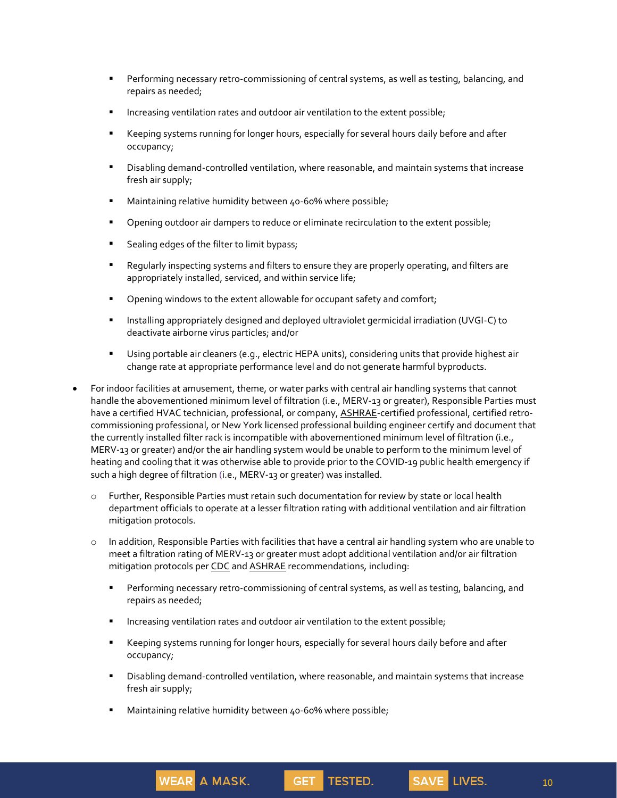- **•** Performing necessary retro-commissioning of central systems, as well as testing, balancing, and repairs as needed;
- Increasing ventilation rates and outdoor air ventilation to the extent possible;
- Keeping systems running for longer hours, especially for several hours daily before and after occupancy;
- **EXECT** Disabling demand-controlled ventilation, where reasonable, and maintain systems that increase fresh air supply;
- Maintaining relative humidity between 40-60% where possible;
- **•** Opening outdoor air dampers to reduce or eliminate recirculation to the extent possible;
- Sealing edges of the filter to limit bypass;
- Regularly inspecting systems and filters to ensure they are properly operating, and filters are appropriately installed, serviced, and within service life;
- **•** Opening windows to the extent allowable for occupant safety and comfort;
- Installing appropriately designed and deployed ultraviolet germicidal irradiation (UVGI-C) to deactivate airborne virus particles; and/or
- Using portable air cleaners (e.g., electric HEPA units), considering units that provide highest air change rate at appropriate performance level and do not generate harmful byproducts.
- For indoor facilities at amusement, theme, or water parks with central air handling systems that cannot handle the abovementioned minimum level of filtration (i.e., MERV-13 or greater), Responsible Parties must have a certified HVAC technician, professional, or company, ASHRAE-certified professional, certified retrocommissioning professional, or New York licensed professional building engineer certify and document that the currently installed filter rack is incompatible with abovementioned minimum level of filtration (i.e., MERV-13 or greater) and/or the air handling system would be unable to perform to the minimum level of heating and cooling that it was otherwise able to provide prior to the COVID-19 public health emergency if such a high degree of filtration (i.e., MERV-13 or greater) was installed.
	- o Further, Responsible Parties must retain such documentation for review by state or local health department officials to operate at a lesser filtration rating with additional ventilation and air filtration mitigation protocols.
	- o In addition, Responsible Parties with facilities that have a central air handling system who are unable to meet a filtration rating of MERV-13 or greater must adopt additional ventilation and/or air filtration mitigation protocols per CDC and ASHRAE recommendations, including:
		- **•** Performing necessary retro-commissioning of central systems, as well as testing, balancing, and repairs as needed;
		- **■** Increasing ventilation rates and outdoor air ventilation to the extent possible;
		- Keeping systems running for longer hours, especially for several hours daily before and after occupancy;

**GET** 

TESTED.

- **EXED** Disabling demand-controlled ventilation, where reasonable, and maintain systems that increase fresh air supply;
- Maintaining relative humidity between 40-60% where possible;

**WEAR A MASK.**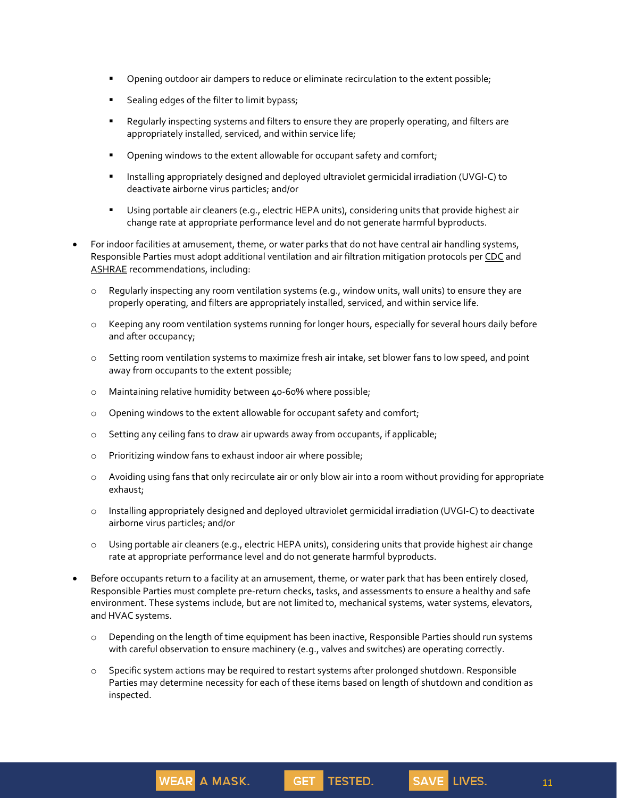- Opening outdoor air dampers to reduce or eliminate recirculation to the extent possible;
- Sealing edges of the filter to limit bypass;
- Regularly inspecting systems and filters to ensure they are properly operating, and filters are appropriately installed, serviced, and within service life;
- **•** Opening windows to the extent allowable for occupant safety and comfort;
- Installing appropriately designed and deployed ultraviolet germicidal irradiation (UVGI-C) to deactivate airborne virus particles; and/or
- Using portable air cleaners (e.g., electric HEPA units), considering units that provide highest air change rate at appropriate performance level and do not generate harmful byproducts.
- For indoor facilities at amusement, theme, or water parks that do not have central air handling systems, Responsible Parties must adopt additional ventilation and air filtration mitigation protocols per CDC and ASHRAE recommendations, including:
	- o Regularly inspecting any room ventilation systems (e.g., window units, wall units) to ensure they are properly operating, and filters are appropriately installed, serviced, and within service life.
	- o Keeping any room ventilation systems running for longer hours, especially for several hours daily before and after occupancy;
	- o Setting room ventilation systems to maximize fresh air intake, set blower fans to low speed, and point away from occupants to the extent possible;
	- o Maintaining relative humidity between 40-60% where possible;
	- o Opening windows to the extent allowable for occupant safety and comfort;
	- o Setting any ceiling fans to draw air upwards away from occupants, if applicable;
	- o Prioritizing window fans to exhaust indoor air where possible;

WEAR A MASK.

- o Avoiding using fans that only recirculate air or only blow air into a room without providing for appropriate exhaust;
- o Installing appropriately designed and deployed ultraviolet germicidal irradiation (UVGI-C) to deactivate airborne virus particles; and/or
- o Using portable air cleaners (e.g., electric HEPA units), considering units that provide highest air change rate at appropriate performance level and do not generate harmful byproducts.
- Before occupants return to a facility at an amusement, theme, or water park that has been entirely closed, Responsible Parties must complete pre-return checks, tasks, and assessments to ensure a healthy and safe environment. These systems include, but are not limited to, mechanical systems, water systems, elevators, and HVAC systems.
	- o Depending on the length of time equipment has been inactive, Responsible Parties should run systems with careful observation to ensure machinery (e.g., valves and switches) are operating correctly.
	- o Specific system actions may be required to restart systems after prolonged shutdown. Responsible Parties may determine necessity for each of these items based on length of shutdown and condition as inspected.

GET.

TESTED.

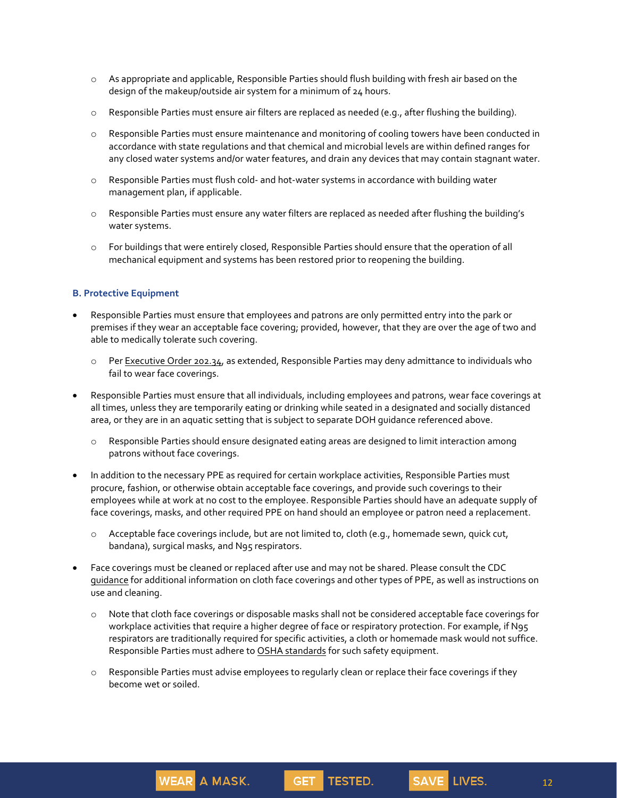- o As appropriate and applicable, Responsible Parties should flush building with fresh air based on the design of the makeup/outside air system for a minimum of 24 hours.
- o Responsible Parties must ensure air filters are replaced as needed (e.g., after flushing the building).
- o Responsible Parties must ensure maintenance and monitoring of cooling towers have been conducted in accordance with state regulations and that chemical and microbial levels are within defined ranges for any closed water systems and/or water features, and drain any devices that may contain stagnant water.
- o Responsible Parties must flush cold- and hot-water systems in accordance with building water management plan, if applicable.
- o Responsible Parties must ensure any water filters are replaced as needed after flushing the building's water systems.
- o For buildings that were entirely closed, Responsible Parties should ensure that the operation of all mechanical equipment and systems has been restored prior to reopening the building.

## **B. Protective Equipment**

- Responsible Parties must ensure that employees and patrons are only permitted entry into the park or premises if they wear an acceptable face covering; provided, however, that they are over the age of two and able to medically tolerate such covering.
	- o Per Executive Order 202.34, as extended, Responsible Parties may deny admittance to individuals who fail to wear face coverings.
- Responsible Parties must ensure that all individuals, including employees and patrons, wear face coverings at all times, unless they are temporarily eating or drinking while seated in a designated and socially distanced area, or they are in an aquatic setting that is subject to separate DOH guidance referenced above.
	- o Responsible Parties should ensure designated eating areas are designed to limit interaction among patrons without face coverings.
- In addition to the necessary PPE as required for certain workplace activities, Responsible Parties must procure, fashion, or otherwise obtain acceptable face coverings, and provide such coverings to their employees while at work at no cost to the employee. Responsible Parties should have an adequate supply of face coverings, masks, and other required PPE on hand should an employee or patron need a replacement.
	- o Acceptable face coverings include, but are not limited to, cloth (e.g., homemade sewn, quick cut, bandana), surgical masks, and N95 respirators.
- Face coverings must be cleaned or replaced after use and may not be shared. Please consult the CDC guidance for additional information on cloth face coverings and other types of PPE, as well as instructions on use and cleaning.
	- o Note that cloth face coverings or disposable masks shall not be considered acceptable face coverings for workplace activities that require a higher degree of face or respiratory protection. For example, if N95 respirators are traditionally required for specific activities, a cloth or homemade mask would not suffice. Responsible Parties must adhere to OSHA standards for such safety equipment.
	- o Responsible Parties must advise employees to regularly clean or replace their face coverings if they become wet or soiled.

**GET** 

**TESTED.** 

**WEAR A MASK.** 

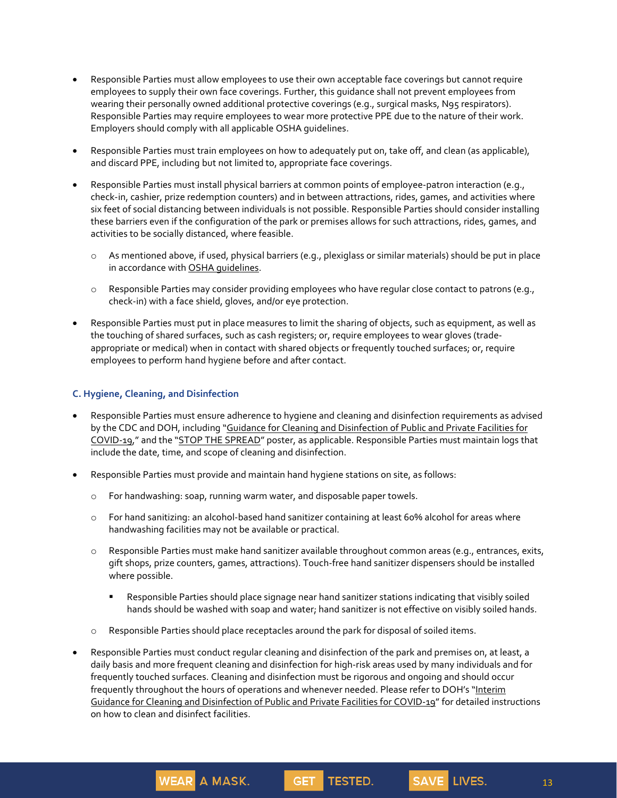- Responsible Parties must allow employees to use their own acceptable face coverings but cannot require employees to supply their own face coverings. Further, this guidance shall not prevent employees from wearing their personally owned additional protective coverings (e.g., surgical masks, N95 respirators). Responsible Parties may require employees to wear more protective PPE due to the nature of their work. Employers should comply with all applicable OSHA guidelines.
- Responsible Parties must train employees on how to adequately put on, take off, and clean (as applicable), and discard PPE, including but not limited to, appropriate face coverings.
- Responsible Parties must install physical barriers at common points of employee-patron interaction (e.g., check-in, cashier, prize redemption counters) and in between attractions, rides, games, and activities where six feet of social distancing between individuals is not possible. Responsible Parties should consider installing these barriers even if the configuration of the park or premises allows for such attractions, rides, games, and activities to be socially distanced, where feasible.
	- o As mentioned above, if used, physical barriers (e.g., plexiglass or similar materials) should be put in place in accordance with OSHA guidelines.
	- $\circ$  Responsible Parties may consider providing employees who have regular close contact to patrons (e.g., check-in) with a face shield, gloves, and/or eye protection.
- Responsible Parties must put in place measures to limit the sharing of objects, such as equipment, as well as the touching of shared surfaces, such as cash registers; or, require employees to wear gloves (tradeappropriate or medical) when in contact with shared objects or frequently touched surfaces; or, require employees to perform hand hygiene before and after contact.

## **C. Hygiene, Cleaning, and Disinfection**

- Responsible Parties must ensure adherence to hygiene and cleaning and disinfection requirements as advised by the CDC and DOH, including "Guidance for Cleaning and Disinfection of Public and Private Facilities for COVID-19," and the "STOP THE SPREAD" poster, as applicable. Responsible Parties must maintain logs that include the date, time, and scope of cleaning and disinfection.
- Responsible Parties must provide and maintain hand hygiene stations on site, as follows:
	- o For handwashing: soap, running warm water, and disposable paper towels.

**WEAR A MASK.** 

- o For hand sanitizing: an alcohol-based hand sanitizer containing at least 60% alcohol for areas where handwashing facilities may not be available or practical.
- o Responsible Parties must make hand sanitizer available throughout common areas (e.g., entrances, exits, gift shops, prize counters, games, attractions). Touch-free hand sanitizer dispensers should be installed where possible.
	- **EXECTS ARES** Parties should place signage near hand sanitizer stations indicating that visibly soiled hands should be washed with soap and water; hand sanitizer is not effective on visibly soiled hands.
- o Responsible Parties should place receptacles around the park for disposal of soiled items.
- Responsible Parties must conduct regular cleaning and disinfection of the park and premises on, at least, a daily basis and more frequent cleaning and disinfection for high-risk areas used by many individuals and for frequently touched surfaces. Cleaning and disinfection must be rigorous and ongoing and should occur frequently throughout the hours of operations and whenever needed. Please refer to DOH's "Interim Guidance for Cleaning and Disinfection of Public and Private Facilities for COVID-19" for detailed instructions on how to clean and disinfect facilities.

**GET** 

**TESTED.**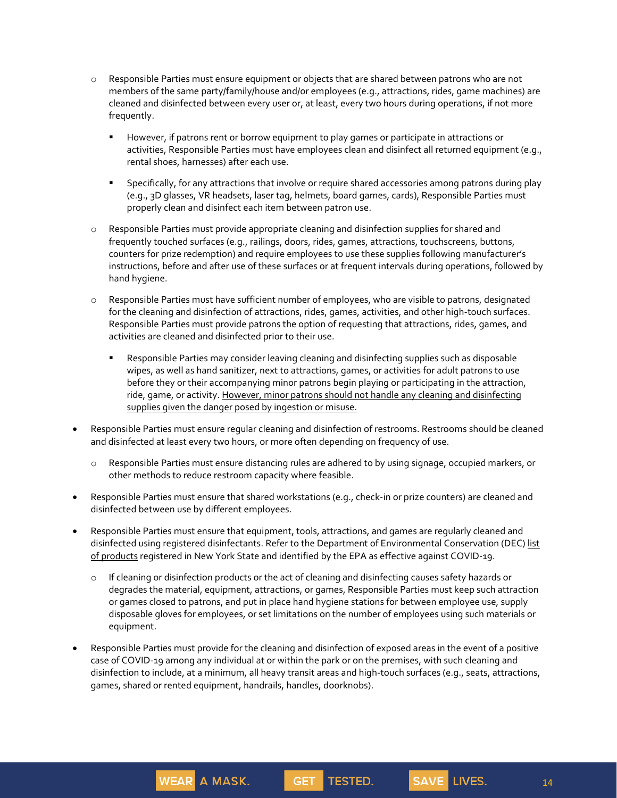- o Responsible Parties must ensure equipment or objects that are shared between patrons who are not members of the same party/family/house and/or employees (e.g., attractions, rides, game machines) are cleaned and disinfected between every user or, at least, every two hours during operations, if not more frequently.
	- However, if patrons rent or borrow equipment to play games or participate in attractions or activities, Responsible Parties must have employees clean and disinfect all returned equipment (e.g., rental shoes, harnesses) after each use.
	- **EXECT Specifically, for any attractions that involve or require shared accessories among patrons during play** (e.g., 3D glasses, VR headsets, laser tag, helmets, board games, cards), Responsible Parties must properly clean and disinfect each item between patron use.
- o Responsible Parties must provide appropriate cleaning and disinfection supplies for shared and frequently touched surfaces (e.g., railings, doors, rides, games, attractions, touchscreens, buttons, counters for prize redemption) and require employees to use these supplies following manufacturer's instructions, before and after use of these surfaces or at frequent intervals during operations, followed by hand hygiene.
- o Responsible Parties must have sufficient number of employees, who are visible to patrons, designated for the cleaning and disinfection of attractions, rides, games, activities, and other high-touch surfaces. Responsible Parties must provide patrons the option of requesting that attractions, rides, games, and activities are cleaned and disinfected prior to their use.
	- **EXECTS ARES** Parties may consider leaving cleaning and disinfecting supplies such as disposable wipes, as well as hand sanitizer, next to attractions, games, or activities for adult patrons to use before they or their accompanying minor patrons begin playing or participating in the attraction, ride, game, or activity. However, minor patrons should not handle any cleaning and disinfecting supplies given the danger posed by ingestion or misuse.
- Responsible Parties must ensure regular cleaning and disinfection of restrooms. Restrooms should be cleaned and disinfected at least every two hours, or more often depending on frequency of use.
	- o Responsible Parties must ensure distancing rules are adhered to by using signage, occupied markers, or other methods to reduce restroom capacity where feasible.
- Responsible Parties must ensure that shared workstations (e.g., check-in or prize counters) are cleaned and disinfected between use by different employees.
- Responsible Parties must ensure that equipment, tools, attractions, and games are regularly cleaned and disinfected using registered disinfectants. Refer to the Department of Environmental Conservation (DEC) list of products reqistered in New York State and identified by the EPA as effective against COVID-19.
	- o If cleaning or disinfection products or the act of cleaning and disinfecting causes safety hazards or degrades the material, equipment, attractions, or games, Responsible Parties must keep such attraction or games closed to patrons, and put in place hand hygiene stations for between employee use, supply disposable gloves for employees, or set limitations on the number of employees using such materials or equipment.
- Responsible Parties must provide for the cleaning and disinfection of exposed areas in the event of a positive case of COVID-19 among any individual at or within the park or on the premises, with such cleaning and disinfection to include, at a minimum, all heavy transit areas and high-touch surfaces (e.g., seats, attractions, games, shared or rented equipment, handrails, handles, doorknobs).

GET.

TESTED.

**WEAR A MASK.** 

14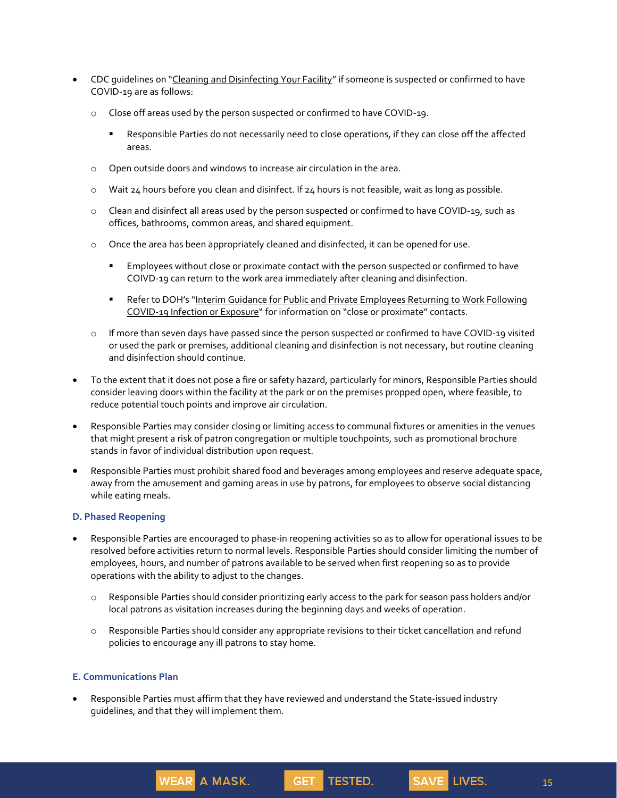- CDC guidelines on "Cleaning and Disinfecting Your Facility" if someone is suspected or confirmed to have COVID-19 are as follows:
	- o Close off areas used by the person suspected or confirmed to have COVID-19.
		- Responsible Parties do not necessarily need to close operations, if they can close off the affected areas.
	- o Open outside doors and windows to increase air circulation in the area.
	- $\circ$  Wait 24 hours before you clean and disinfect. If 24 hours is not feasible, wait as long as possible.
	- o Clean and disinfect all areas used by the person suspected or confirmed to have COVID-19, such as offices, bathrooms, common areas, and shared equipment.
	- o Once the area has been appropriately cleaned and disinfected, it can be opened for use.
		- **Employees without close or proximate contact with the person suspected or confirmed to have** COIVD-19 can return to the work area immediately after cleaning and disinfection.
		- **EXECT:** Refer to DOH's "Interim Guidance for Public and Private Employees Returning to Work Following COVID-19 Infection or Exposure" for information on "close or proximate" contacts.
	- o If more than seven days have passed since the person suspected or confirmed to have COVID-19 visited or used the park or premises, additional cleaning and disinfection is not necessary, but routine cleaning and disinfection should continue.
- To the extent that it does not pose a fire or safety hazard, particularly for minors, Responsible Parties should consider leaving doors within the facility at the park or on the premises propped open, where feasible, to reduce potential touch points and improve air circulation.
- Responsible Parties may consider closing or limiting access to communal fixtures or amenities in the venues that might present a risk of patron congregation or multiple touchpoints, such as promotional brochure stands in favor of individual distribution upon request.
- Responsible Parties must prohibit shared food and beverages among employees and reserve adequate space, away from the amusement and gaming areas in use by patrons, for employees to observe social distancing while eating meals.

## **D. Phased Reopening**

- Responsible Parties are encouraged to phase-in reopening activities so as to allow for operational issues to be resolved before activities return to normal levels. Responsible Parties should consider limiting the number of employees, hours, and number of patrons available to be served when first reopening so as to provide operations with the ability to adjust to the changes.
	- o Responsible Parties should consider prioritizing early access to the park for season pass holders and/or local patrons as visitation increases during the beginning days and weeks of operation.
	- o Responsible Parties should consider any appropriate revisions to their ticket cancellation and refund policies to encourage any ill patrons to stay home.

**GET** 

TESTED.

### **E. Communications Plan**

• Responsible Parties must affirm that they have reviewed and understand the State-issued industry guidelines, and that they will implement them.

**WEAR A MASK.**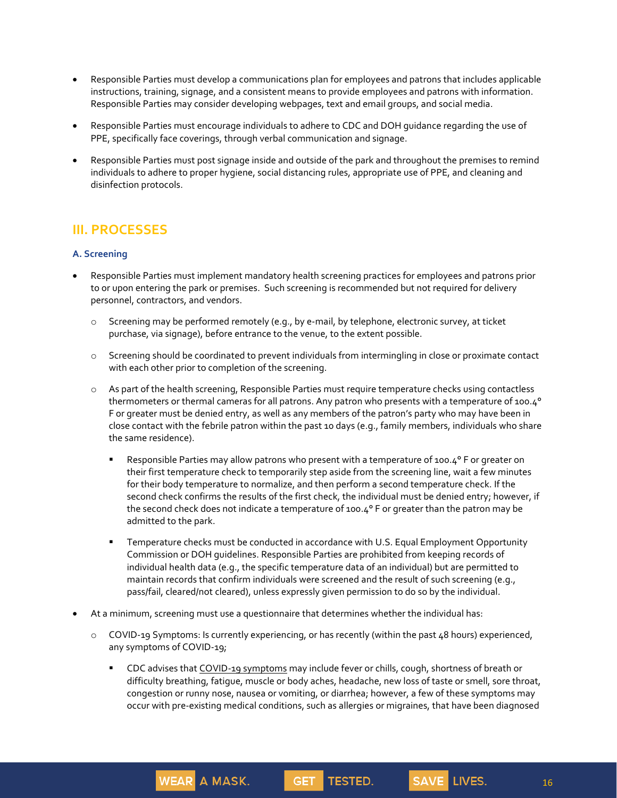- Responsible Parties must develop a communications plan for employees and patrons that includes applicable instructions, training, signage, and a consistent means to provide employees and patrons with information. Responsible Parties may consider developing webpages, text and email groups, and social media.
- Responsible Parties must encourage individuals to adhere to CDC and DOH guidance regarding the use of PPE, specifically face coverings, through verbal communication and signage.
- Responsible Parties must post signage inside and outside of the park and throughout the premises to remind individuals to adhere to proper hygiene, social distancing rules, appropriate use of PPE, and cleaning and disinfection protocols.

## **III. PROCESSES**

## **A. Screening**

- Responsible Parties must implement mandatory health screening practices for employees and patrons prior to or upon entering the park or premises. Such screening is recommended but not required for delivery personnel, contractors, and vendors.
	- o Screening may be performed remotely (e.g., by e-mail, by telephone, electronic survey, at ticket purchase, via signage), before entrance to the venue, to the extent possible.
	- o Screening should be coordinated to prevent individuals from intermingling in close or proximate contact with each other prior to completion of the screening.
	- o As part of the health screening, Responsible Parties must require temperature checks using contactless thermometers or thermal cameras for all patrons. Any patron who presents with a temperature of 100.4° F or greater must be denied entry, as well as any members of the patron's party who may have been in close contact with the febrile patron within the past 10 days (e.g., family members, individuals who share the same residence).
		- Responsible Parties may allow patrons who present with a temperature of 100.4° F or greater on their first temperature check to temporarily step aside from the screening line, wait a few minutes for their body temperature to normalize, and then perform a second temperature check. If the second check confirms the results of the first check, the individual must be denied entry; however, if the second check does not indicate a temperature of 100.4° F or greater than the patron may be admitted to the park.
		- **EXECT** Temperature checks must be conducted in accordance with U.S. Equal Employment Opportunity Commission or DOH guidelines. Responsible Parties are prohibited from keeping records of individual health data (e.g., the specific temperature data of an individual) but are permitted to maintain records that confirm individuals were screened and the result of such screening (e.g., pass/fail, cleared/not cleared), unless expressly given permission to do so by the individual.
- At a minimum, screening must use a questionnaire that determines whether the individual has:

**WEAR A MASK.** 

o COVID-19 Symptoms: Is currently experiencing, or has recently (within the past 48 hours) experienced, any symptoms of COVID-19;

**GET** 

CDC advises that COVID-19 symptoms may include fever or chills, cough, shortness of breath or difficulty breathing, fatigue, muscle or body aches, headache, new loss of taste or smell, sore throat, congestion or runny nose, nausea or vomiting, or diarrhea; however, a few of these symptoms may occur with pre-existing medical conditions, such as allergies or migraines, that have been diagnosed

TESTED.

16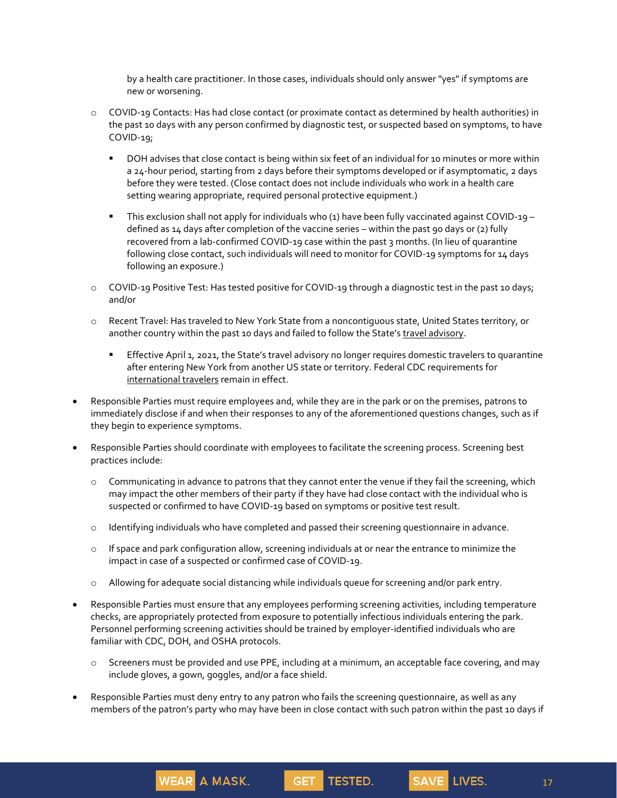by a health care practitioner. In those cases, individuals should only answer "yes" if symptoms are new or worsening.

- o COVID-19 Contacts: Has had close contact (or proximate contact as determined by health authorities) in the past 10 days with any person confirmed by diagnostic test, or suspected based on symptoms, to have COVID-19;
	- DOH advises that close contact is being within six feet of an individual for 10 minutes or more within a 24-hour period, starting from 2 days before their symptoms developed or if asymptomatic, 2 days before they were tested. (Close contact does not include individuals who work in a health care setting wearing appropriate, required personal protective equipment.)
	- This exclusion shall not apply for individuals who (1) have been fully vaccinated against COVID-19 defined as 14 days after completion of the vaccine series – within the past 90 days or (2) fully recovered from a lab-confirmed COVID-19 case within the past 3 months. (In lieu of quarantine following close contact, such individuals will need to monitor for COVID-19 symptoms for 14 days following an exposure.)
- o COVID-19 Positive Test: Has tested positive for COVID-19 through a diagnostic test in the past 10 days; and/or
- o Recent Travel: Has traveled to New York State from a noncontiguous state, United States territory, or another country within the past 10 days and failed to follow the State's travel advisory.
	- **Effective April 1, 2021, the State's travel advisory no longer requires domestic travelers to quarantine** after entering New York from another US state or territory. Federal CDC requirements for international travelers remain in effect.
- Responsible Parties must require employees and, while they are in the park or on the premises, patrons to immediately disclose if and when their responses to any of the aforementioned questions changes, such as if they begin to experience symptoms.
- Responsible Parties should coordinate with employees to facilitate the screening process. Screening best practices include:
	- o Communicating in advance to patrons that they cannot enter the venue if they fail the screening, which may impact the other members of their party if they have had close contact with the individual who is suspected or confirmed to have COVID-19 based on symptoms or positive test result.
	- o Identifying individuals who have completed and passed their screening questionnaire in advance.
	- $\circ$  If space and park configuration allow, screening individuals at or near the entrance to minimize the impact in case of a suspected or confirmed case of COVID-19.
	- o Allowing for adequate social distancing while individuals queue for screening and/or park entry.
- Responsible Parties must ensure that any employees performing screening activities, including temperature checks, are appropriately protected from exposure to potentially infectious individuals entering the park. Personnel performing screening activities should be trained by employer-identified individuals who are familiar with CDC, DOH, and OSHA protocols.
	- o Screeners must be provided and use PPE, including at a minimum, an acceptable face covering, and may include gloves, a gown, goggles, and/or a face shield.

GET TESTED.

• Responsible Parties must deny entry to any patron who fails the screening questionnaire, as well as any members of the patron's party who may have been in close contact with such patron within the past 10 days if

WEAR A MASK.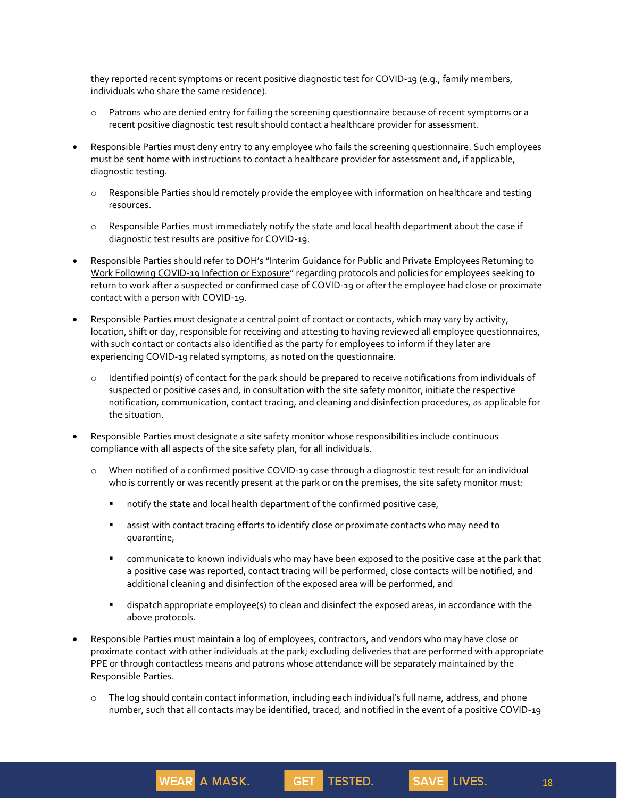they reported recent symptoms or recent positive diagnostic test for COVID-19 (e.g., family members, individuals who share the same residence).

- o Patrons who are denied entry for failing the screening questionnaire because of recent symptoms or a recent positive diagnostic test result should contact a healthcare provider for assessment.
- Responsible Parties must deny entry to any employee who fails the screening questionnaire. Such employees must be sent home with instructions to contact a healthcare provider for assessment and, if applicable, diagnostic testing.
	- o Responsible Parties should remotely provide the employee with information on healthcare and testing resources.
	- o Responsible Parties must immediately notify the state and local health department about the case if diagnostic test results are positive for COVID-19.
- Responsible Parties should refer to DOH's "Interim Guidance for Public and Private Employees Returning to Work Following COVID-19 Infection or Exposure" regarding protocols and policies for employees seeking to return to work after a suspected or confirmed case of COVID-19 or after the employee had close or proximate contact with a person with COVID-19.
- Responsible Parties must designate a central point of contact or contacts, which may vary by activity, location, shift or day, responsible for receiving and attesting to having reviewed all employee questionnaires, with such contact or contacts also identified as the party for employees to inform if they later are experiencing COVID-19 related symptoms, as noted on the questionnaire.
	- $\circ$  Identified point(s) of contact for the park should be prepared to receive notifications from individuals of suspected or positive cases and, in consultation with the site safety monitor, initiate the respective notification, communication, contact tracing, and cleaning and disinfection procedures, as applicable for the situation.
- Responsible Parties must designate a site safety monitor whose responsibilities include continuous compliance with all aspects of the site safety plan, for all individuals.
	- o When notified of a confirmed positive COVID-19 case through a diagnostic test result for an individual who is currently or was recently present at the park or on the premises, the site safety monitor must:
		- notify the state and local health department of the confirmed positive case,

**WEAR** A MASK.

- **.** assist with contact tracing efforts to identify close or proximate contacts who may need to quarantine,
- **•** communicate to known individuals who may have been exposed to the positive case at the park that a positive case was reported, contact tracing will be performed, close contacts will be notified, and additional cleaning and disinfection of the exposed area will be performed, and
- dispatch appropriate employee(s) to clean and disinfect the exposed areas, in accordance with the above protocols.
- Responsible Parties must maintain a log of employees, contractors, and vendors who may have close or proximate contact with other individuals at the park; excluding deliveries that are performed with appropriate PPE or through contactless means and patrons whose attendance will be separately maintained by the Responsible Parties.
	- o The log should contain contact information, including each individual's full name, address, and phone number, such that all contacts may be identified, traced, and notified in the event of a positive COVID-19

GET TESTED.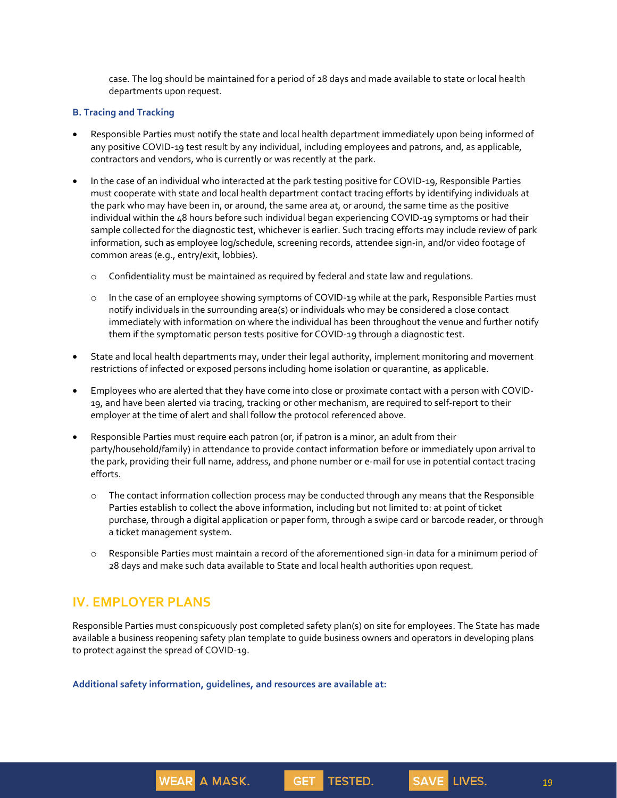case. The log should be maintained for a period of 28 days and made available to state or local health departments upon request.

### **B. Tracing and Tracking**

- Responsible Parties must notify the state and local health department immediately upon being informed of any positive COVID-19 test result by any individual, including employees and patrons, and, as applicable, contractors and vendors, who is currently or was recently at the park.
- In the case of an individual who interacted at the park testing positive for COVID-19, Responsible Parties must cooperate with state and local health department contact tracing efforts by identifying individuals at the park who may have been in, or around, the same area at, or around, the same time as the positive individual within the 48 hours before such individual began experiencing COVID-19 symptoms or had their sample collected for the diagnostic test, whichever is earlier. Such tracing efforts may include review of park information, such as employee log/schedule, screening records, attendee sign-in, and/or video footage of common areas (e.g., entry/exit, lobbies).
	- o Confidentiality must be maintained as required by federal and state law and regulations.
	- o In the case of an employee showing symptoms of COVID-19 while at the park, Responsible Parties must notify individuals in the surrounding area(s) or individuals who may be considered a close contact immediately with information on where the individual has been throughout the venue and further notify them if the symptomatic person tests positive for COVID-19 through a diagnostic test.
- State and local health departments may, under their legal authority, implement monitoring and movement restrictions of infected or exposed persons including home isolation or quarantine, as applicable.
- Employees who are alerted that they have come into close or proximate contact with a person with COVID-19, and have been alerted via tracing, tracking or other mechanism, are required to self-report to their employer at the time of alert and shall follow the protocol referenced above.
- Responsible Parties must require each patron (or, if patron is a minor, an adult from their party/household/family) in attendance to provide contact information before or immediately upon arrival to the park, providing their full name, address, and phone number or e-mail for use in potential contact tracing efforts.
	- o The contact information collection process may be conducted through any means that the Responsible Parties establish to collect the above information, including but not limited to: at point of ticket purchase, through a digital application or paper form, through a swipe card or barcode reader, or through a ticket management system.
	- o Responsible Parties must maintain a record of the aforementioned sign-in data for a minimum period of 28 days and make such data available to State and local health authorities upon request.

# **IV. EMPLOYER PLANS**

Responsible Parties must conspicuously post completed safety plan(s) on site for employees. The State has made available a business reopening safety plan template to guide business owners and operators in developing plans to protect against the spread of COVID-19.

**GET** 

**TESTED.** 

**Additional safety information, guidelines, and resources are available at:**

**WEAR A MASK.** 

19